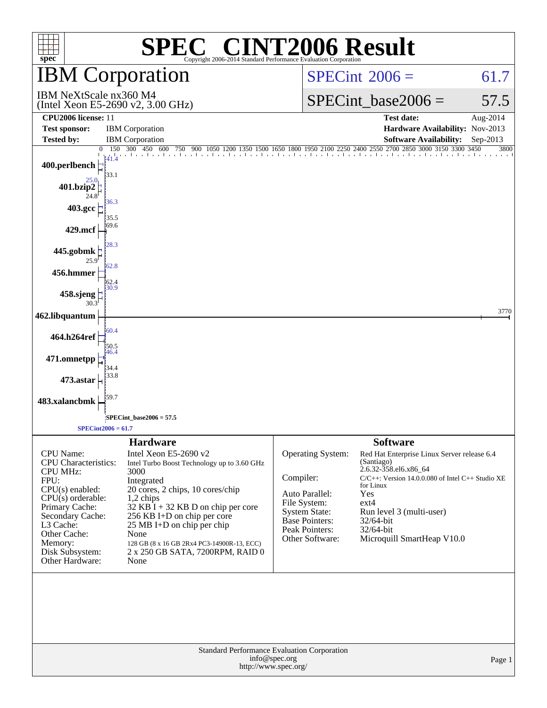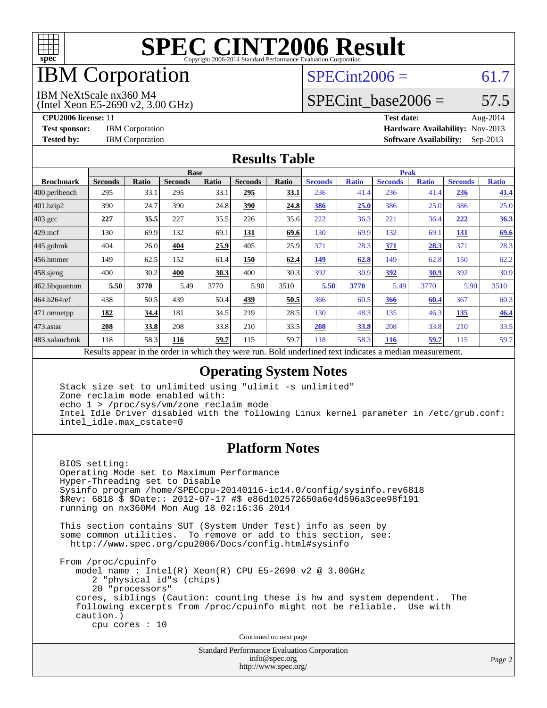

# IBM Corporation

# $SPECint2006 = 61.7$  $SPECint2006 = 61.7$

#### IBM NeXtScale nx360 M4

(Intel Xeon E5-2690 v2, 3.00 GHz)

SPECint base2006 =  $57.5$ 

**[CPU2006 license:](http://www.spec.org/auto/cpu2006/Docs/result-fields.html#CPU2006license)** 11 **[Test date:](http://www.spec.org/auto/cpu2006/Docs/result-fields.html#Testdate)** Aug-2014 **[Test sponsor:](http://www.spec.org/auto/cpu2006/Docs/result-fields.html#Testsponsor)** IBM Corporation **[Hardware Availability:](http://www.spec.org/auto/cpu2006/Docs/result-fields.html#HardwareAvailability)** Nov-2013 **[Tested by:](http://www.spec.org/auto/cpu2006/Docs/result-fields.html#Testedby)** IBM Corporation **[Software Availability:](http://www.spec.org/auto/cpu2006/Docs/result-fields.html#SoftwareAvailability)** Sep-2013

#### **[Results Table](http://www.spec.org/auto/cpu2006/Docs/result-fields.html#ResultsTable)**

|                    | <b>Base</b>                                       |       |                |              |                                                     |       |                | <b>Peak</b>  |                |              |                |              |  |
|--------------------|---------------------------------------------------|-------|----------------|--------------|-----------------------------------------------------|-------|----------------|--------------|----------------|--------------|----------------|--------------|--|
| <b>Benchmark</b>   | <b>Seconds</b>                                    | Ratio | <b>Seconds</b> | <b>Ratio</b> | <b>Seconds</b>                                      | Ratio | <b>Seconds</b> | <b>Ratio</b> | <b>Seconds</b> | <b>Ratio</b> | <b>Seconds</b> | <b>Ratio</b> |  |
| 400.perlbench      | 295                                               | 33.1  | 295            | 33.1         | 295                                                 | 33.1  | 236            | 41.4         | 236            | 41.4         | 236            | 41.4         |  |
| 401.bzip2          | 390                                               | 24.7  | 390            | 24.8         | 390                                                 | 24.8  | 386            | 25.0         | 386            | 25.0         | 386            | 25.0         |  |
| $403.\mathrm{gcc}$ | 227                                               | 35.5  | 227            | 35.5         | 226                                                 | 35.6  | 222            | 36.3         | 221            | 36.4         | 222            | 36.3         |  |
| $429$ .mcf         | 130                                               | 69.9  | 132            | 69.1         | 131                                                 | 69.6  | 130            | 69.9         | 132            | 69.1         | 131            | 69.6         |  |
| $445$ .gobmk       | 404                                               | 26.0  | 404            | 25.9         | 405                                                 | 25.9  | 371            | 28.3         | 371            | 28.3         | 371            | 28.3         |  |
| 456.hmmer          | 149                                               | 62.5  | 152            | 61.4         | 150                                                 | 62.4  | 149            | 62.8         | 149            | 62.8         | 150            | 62.2         |  |
| $458$ .sjeng       | 400                                               | 30.2  | 400            | 30.3         | 400                                                 | 30.3  | 392            | 30.9         | <u>392</u>     | 30.9         | 392            | 30.9         |  |
| 462.libquantum     | 5.50                                              | 3770  | 5.49           | 3770         | 5.90                                                | 3510  | 5.50           | 3770         | 5.49           | 3770         | 5.90           | 3510         |  |
| 464.h264ref        | 438                                               | 50.5  | 439            | 50.4         | 439                                                 | 50.5  | 366            | 60.5         | 366            | 60.4         | 367            | 60.3         |  |
| 471.omnetpp        | 182                                               | 34.4  | 181            | 34.5         | 219                                                 | 28.5  | 130            | 48.3         | 135            | 46.3         | 135            | 46.4         |  |
| 473.astar          | 208                                               | 33.8  | 208            | 33.8         | 210                                                 | 33.5  | 208            | 33.8         | 208            | 33.8         | 210            | 33.5         |  |
| 483.xalancbmk      | 118                                               | 58.3  | 116            | 59.7         | 115                                                 | 59.7  | 118            | 58.3         | <b>116</b>     | 59.7         | 115            | 59.7         |  |
|                    | Decute ennoye in the order in which they were mun |       |                |              | Dold underlined text indicates a madien massurement |       |                |              |                |              |                |              |  |

Results appear in the [order in which they were run.](http://www.spec.org/auto/cpu2006/Docs/result-fields.html#RunOrder) Bold underlined text [indicates a median measurement.](http://www.spec.org/auto/cpu2006/Docs/result-fields.html#Median)

### **[Operating System Notes](http://www.spec.org/auto/cpu2006/Docs/result-fields.html#OperatingSystemNotes)**

 Stack size set to unlimited using "ulimit -s unlimited" Zone reclaim mode enabled with: echo 1 > /proc/sys/vm/zone\_reclaim\_mode Intel Idle Driver disabled with the following Linux kernel parameter in /etc/grub.conf: intel\_idle.max\_cstate=0

### **[Platform Notes](http://www.spec.org/auto/cpu2006/Docs/result-fields.html#PlatformNotes)**

 BIOS setting: Operating Mode set to Maximum Performance Hyper-Threading set to Disable Sysinfo program /home/SPECcpu-20140116-ic14.0/config/sysinfo.rev6818 \$Rev: 6818 \$ \$Date:: 2012-07-17 #\$ e86d102572650a6e4d596a3cee98f191 running on nx360M4 Mon Aug 18 02:16:36 2014

 This section contains SUT (System Under Test) info as seen by some common utilities. To remove or add to this section, see: <http://www.spec.org/cpu2006/Docs/config.html#sysinfo>

 From /proc/cpuinfo model name : Intel(R) Xeon(R) CPU E5-2690 v2 @ 3.00GHz 2 "physical id"s (chips) 20 "processors" cores, siblings (Caution: counting these is hw and system dependent. The following excerpts from /proc/cpuinfo might not be reliable. Use with caution.) cpu cores : 10

Continued on next page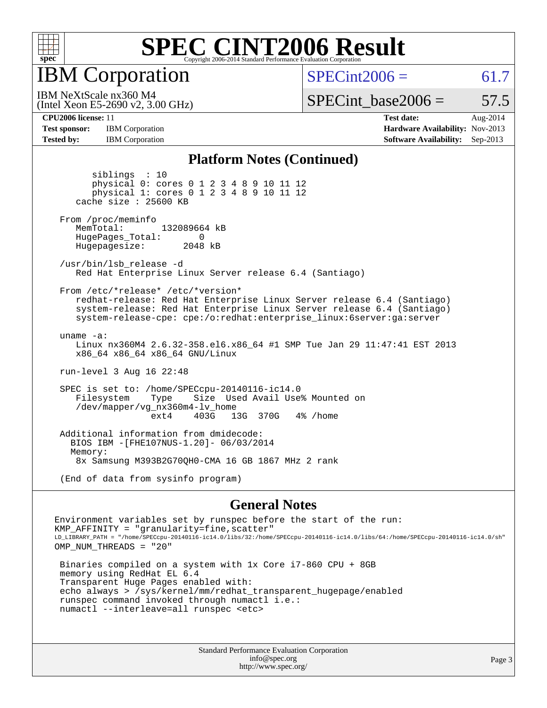

IBM Corporation

 $SPECint2006 = 61.7$  $SPECint2006 = 61.7$ 

(Intel Xeon E5-2690 v2, 3.00 GHz) IBM NeXtScale nx360 M4

SPECint base2006 =  $57.5$ 

**[CPU2006 license:](http://www.spec.org/auto/cpu2006/Docs/result-fields.html#CPU2006license)** 11 **[Test date:](http://www.spec.org/auto/cpu2006/Docs/result-fields.html#Testdate)** Aug-2014 **[Test sponsor:](http://www.spec.org/auto/cpu2006/Docs/result-fields.html#Testsponsor)** IBM Corporation **[Hardware Availability:](http://www.spec.org/auto/cpu2006/Docs/result-fields.html#HardwareAvailability)** Nov-2013 **[Tested by:](http://www.spec.org/auto/cpu2006/Docs/result-fields.html#Testedby)** IBM Corporation **[Software Availability:](http://www.spec.org/auto/cpu2006/Docs/result-fields.html#SoftwareAvailability)** Sep-2013

#### **[Platform Notes \(Continued\)](http://www.spec.org/auto/cpu2006/Docs/result-fields.html#PlatformNotes)**

 siblings : 10 physical 0: cores 0 1 2 3 4 8 9 10 11 12 physical 1: cores 0 1 2 3 4 8 9 10 11 12 cache size : 25600 KB From /proc/meminfo MemTotal: 132089664 kB HugePages\_Total: 0<br>Hugepagesize: 2048 kB Hugepagesize: /usr/bin/lsb\_release -d Red Hat Enterprise Linux Server release 6.4 (Santiago) From /etc/\*release\* /etc/\*version\* redhat-release: Red Hat Enterprise Linux Server release 6.4 (Santiago) system-release: Red Hat Enterprise Linux Server release 6.4 (Santiago) system-release-cpe: cpe:/o:redhat:enterprise\_linux:6server:ga:server uname -a: Linux nx360M4 2.6.32-358.el6.x86\_64 #1 SMP Tue Jan 29 11:47:41 EST 2013 x86\_64 x86\_64 x86\_64 GNU/Linux run-level 3 Aug 16 22:48 SPEC is set to: /home/SPECcpu-20140116-ic14.0 Size Used Avail Use% Mounted on /dev/mapper/vg\_nx360m4-lv\_home ext4 403G 13G 370G 4% /home Additional information from dmidecode: BIOS IBM -[FHE107NUS-1.20]- 06/03/2014 Memory: 8x Samsung M393B2G70QH0-CMA 16 GB 1867 MHz 2 rank

(End of data from sysinfo program)

#### **[General Notes](http://www.spec.org/auto/cpu2006/Docs/result-fields.html#GeneralNotes)**

Environment variables set by runspec before the start of the run: KMP AFFINITY = "granularity=fine, scatter" LD\_LIBRARY\_PATH = "/home/SPECcpu-20140116-ic14.0/libs/32:/home/SPECcpu-20140116-ic14.0/libs/64:/home/SPECcpu-20140116-ic14.0/sh" OMP\_NUM\_THREADS = "20"

 Binaries compiled on a system with 1x Core i7-860 CPU + 8GB memory using RedHat EL 6.4 Transparent Huge Pages enabled with: echo always > /sys/kernel/mm/redhat\_transparent\_hugepage/enabled runspec command invoked through numactl i.e.: numactl --interleave=all runspec <etc>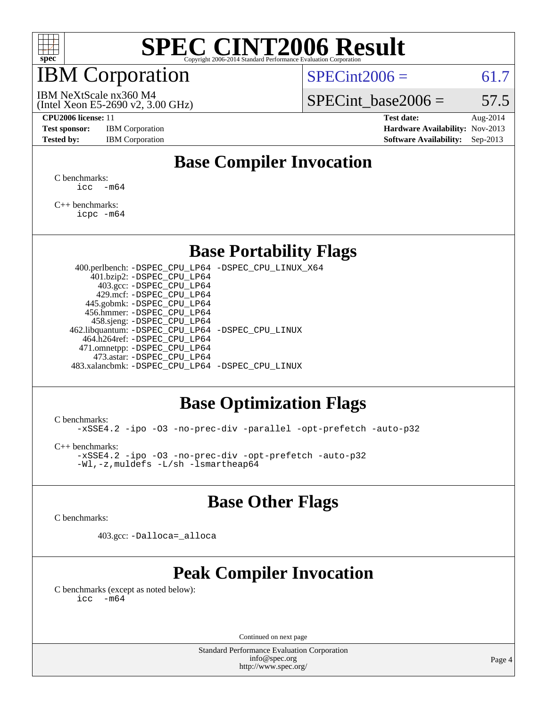

# IBM Corporation

 $SPECint2006 = 61.7$  $SPECint2006 = 61.7$ 

(Intel Xeon E5-2690 v2, 3.00 GHz) IBM NeXtScale nx360 M4

SPECint base2006 =  $57.5$ 

**[Test sponsor:](http://www.spec.org/auto/cpu2006/Docs/result-fields.html#Testsponsor)** IBM Corporation **[Hardware Availability:](http://www.spec.org/auto/cpu2006/Docs/result-fields.html#HardwareAvailability)** Nov-2013

**[CPU2006 license:](http://www.spec.org/auto/cpu2006/Docs/result-fields.html#CPU2006license)** 11 **[Test date:](http://www.spec.org/auto/cpu2006/Docs/result-fields.html#Testdate)** Aug-2014 **[Tested by:](http://www.spec.org/auto/cpu2006/Docs/result-fields.html#Testedby)** IBM Corporation **[Software Availability:](http://www.spec.org/auto/cpu2006/Docs/result-fields.html#SoftwareAvailability)** Sep-2013

# **[Base Compiler Invocation](http://www.spec.org/auto/cpu2006/Docs/result-fields.html#BaseCompilerInvocation)**

[C benchmarks](http://www.spec.org/auto/cpu2006/Docs/result-fields.html#Cbenchmarks):  $\text{icc}$   $-\text{m64}$ 

[C++ benchmarks:](http://www.spec.org/auto/cpu2006/Docs/result-fields.html#CXXbenchmarks) [icpc -m64](http://www.spec.org/cpu2006/results/res2014q3/cpu2006-20140819-30954.flags.html#user_CXXbase_intel_icpc_64bit_fc66a5337ce925472a5c54ad6a0de310)

### **[Base Portability Flags](http://www.spec.org/auto/cpu2006/Docs/result-fields.html#BasePortabilityFlags)**

 400.perlbench: [-DSPEC\\_CPU\\_LP64](http://www.spec.org/cpu2006/results/res2014q3/cpu2006-20140819-30954.flags.html#b400.perlbench_basePORTABILITY_DSPEC_CPU_LP64) [-DSPEC\\_CPU\\_LINUX\\_X64](http://www.spec.org/cpu2006/results/res2014q3/cpu2006-20140819-30954.flags.html#b400.perlbench_baseCPORTABILITY_DSPEC_CPU_LINUX_X64) 401.bzip2: [-DSPEC\\_CPU\\_LP64](http://www.spec.org/cpu2006/results/res2014q3/cpu2006-20140819-30954.flags.html#suite_basePORTABILITY401_bzip2_DSPEC_CPU_LP64) 403.gcc: [-DSPEC\\_CPU\\_LP64](http://www.spec.org/cpu2006/results/res2014q3/cpu2006-20140819-30954.flags.html#suite_basePORTABILITY403_gcc_DSPEC_CPU_LP64) 429.mcf: [-DSPEC\\_CPU\\_LP64](http://www.spec.org/cpu2006/results/res2014q3/cpu2006-20140819-30954.flags.html#suite_basePORTABILITY429_mcf_DSPEC_CPU_LP64) 445.gobmk: [-DSPEC\\_CPU\\_LP64](http://www.spec.org/cpu2006/results/res2014q3/cpu2006-20140819-30954.flags.html#suite_basePORTABILITY445_gobmk_DSPEC_CPU_LP64) 456.hmmer: [-DSPEC\\_CPU\\_LP64](http://www.spec.org/cpu2006/results/res2014q3/cpu2006-20140819-30954.flags.html#suite_basePORTABILITY456_hmmer_DSPEC_CPU_LP64) 458.sjeng: [-DSPEC\\_CPU\\_LP64](http://www.spec.org/cpu2006/results/res2014q3/cpu2006-20140819-30954.flags.html#suite_basePORTABILITY458_sjeng_DSPEC_CPU_LP64) 462.libquantum: [-DSPEC\\_CPU\\_LP64](http://www.spec.org/cpu2006/results/res2014q3/cpu2006-20140819-30954.flags.html#suite_basePORTABILITY462_libquantum_DSPEC_CPU_LP64) [-DSPEC\\_CPU\\_LINUX](http://www.spec.org/cpu2006/results/res2014q3/cpu2006-20140819-30954.flags.html#b462.libquantum_baseCPORTABILITY_DSPEC_CPU_LINUX) 464.h264ref: [-DSPEC\\_CPU\\_LP64](http://www.spec.org/cpu2006/results/res2014q3/cpu2006-20140819-30954.flags.html#suite_basePORTABILITY464_h264ref_DSPEC_CPU_LP64) 471.omnetpp: [-DSPEC\\_CPU\\_LP64](http://www.spec.org/cpu2006/results/res2014q3/cpu2006-20140819-30954.flags.html#suite_basePORTABILITY471_omnetpp_DSPEC_CPU_LP64) 473.astar: [-DSPEC\\_CPU\\_LP64](http://www.spec.org/cpu2006/results/res2014q3/cpu2006-20140819-30954.flags.html#suite_basePORTABILITY473_astar_DSPEC_CPU_LP64) 483.xalancbmk: [-DSPEC\\_CPU\\_LP64](http://www.spec.org/cpu2006/results/res2014q3/cpu2006-20140819-30954.flags.html#suite_basePORTABILITY483_xalancbmk_DSPEC_CPU_LP64) [-DSPEC\\_CPU\\_LINUX](http://www.spec.org/cpu2006/results/res2014q3/cpu2006-20140819-30954.flags.html#b483.xalancbmk_baseCXXPORTABILITY_DSPEC_CPU_LINUX)

### **[Base Optimization Flags](http://www.spec.org/auto/cpu2006/Docs/result-fields.html#BaseOptimizationFlags)**

[C benchmarks](http://www.spec.org/auto/cpu2006/Docs/result-fields.html#Cbenchmarks):

[-xSSE4.2](http://www.spec.org/cpu2006/results/res2014q3/cpu2006-20140819-30954.flags.html#user_CCbase_f-xSSE42_f91528193cf0b216347adb8b939d4107) [-ipo](http://www.spec.org/cpu2006/results/res2014q3/cpu2006-20140819-30954.flags.html#user_CCbase_f-ipo) [-O3](http://www.spec.org/cpu2006/results/res2014q3/cpu2006-20140819-30954.flags.html#user_CCbase_f-O3) [-no-prec-div](http://www.spec.org/cpu2006/results/res2014q3/cpu2006-20140819-30954.flags.html#user_CCbase_f-no-prec-div) [-parallel](http://www.spec.org/cpu2006/results/res2014q3/cpu2006-20140819-30954.flags.html#user_CCbase_f-parallel) [-opt-prefetch](http://www.spec.org/cpu2006/results/res2014q3/cpu2006-20140819-30954.flags.html#user_CCbase_f-opt-prefetch) [-auto-p32](http://www.spec.org/cpu2006/results/res2014q3/cpu2006-20140819-30954.flags.html#user_CCbase_f-auto-p32)

[C++ benchmarks:](http://www.spec.org/auto/cpu2006/Docs/result-fields.html#CXXbenchmarks)

[-xSSE4.2](http://www.spec.org/cpu2006/results/res2014q3/cpu2006-20140819-30954.flags.html#user_CXXbase_f-xSSE42_f91528193cf0b216347adb8b939d4107) [-ipo](http://www.spec.org/cpu2006/results/res2014q3/cpu2006-20140819-30954.flags.html#user_CXXbase_f-ipo) [-O3](http://www.spec.org/cpu2006/results/res2014q3/cpu2006-20140819-30954.flags.html#user_CXXbase_f-O3) [-no-prec-div](http://www.spec.org/cpu2006/results/res2014q3/cpu2006-20140819-30954.flags.html#user_CXXbase_f-no-prec-div) [-opt-prefetch](http://www.spec.org/cpu2006/results/res2014q3/cpu2006-20140819-30954.flags.html#user_CXXbase_f-opt-prefetch) [-auto-p32](http://www.spec.org/cpu2006/results/res2014q3/cpu2006-20140819-30954.flags.html#user_CXXbase_f-auto-p32) [-Wl,-z,muldefs](http://www.spec.org/cpu2006/results/res2014q3/cpu2006-20140819-30954.flags.html#user_CXXbase_link_force_multiple1_74079c344b956b9658436fd1b6dd3a8a) [-L/sh -lsmartheap64](http://www.spec.org/cpu2006/results/res2014q3/cpu2006-20140819-30954.flags.html#user_CXXbase_SmartHeap64_ed4ef857ce90951921efb0d91eb88472)

## **[Base Other Flags](http://www.spec.org/auto/cpu2006/Docs/result-fields.html#BaseOtherFlags)**

[C benchmarks](http://www.spec.org/auto/cpu2006/Docs/result-fields.html#Cbenchmarks):

403.gcc: [-Dalloca=\\_alloca](http://www.spec.org/cpu2006/results/res2014q3/cpu2006-20140819-30954.flags.html#b403.gcc_baseEXTRA_CFLAGS_Dalloca_be3056838c12de2578596ca5467af7f3)

# **[Peak Compiler Invocation](http://www.spec.org/auto/cpu2006/Docs/result-fields.html#PeakCompilerInvocation)**

[C benchmarks \(except as noted below\)](http://www.spec.org/auto/cpu2006/Docs/result-fields.html#Cbenchmarksexceptasnotedbelow):  $\text{icc}$  -m64

Continued on next page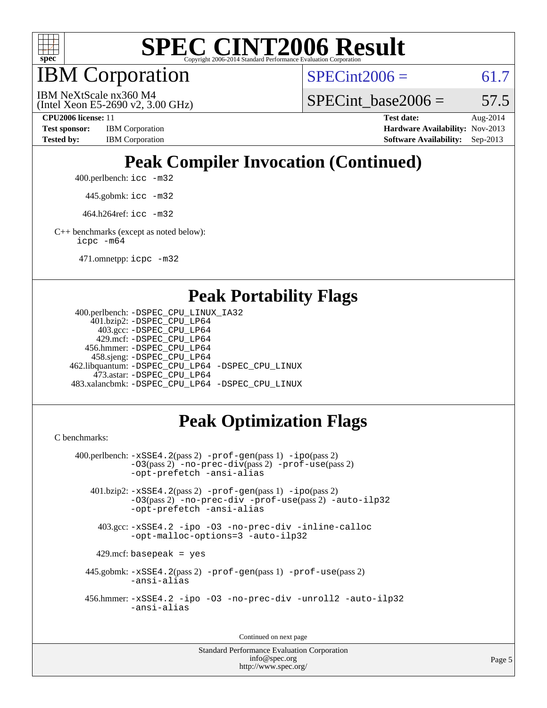

IBM Corporation

 $SPECint2006 = 61.7$  $SPECint2006 = 61.7$ 

(Intel Xeon E5-2690 v2, 3.00 GHz) IBM NeXtScale nx360 M4

SPECint base2006 =  $57.5$ 

**[CPU2006 license:](http://www.spec.org/auto/cpu2006/Docs/result-fields.html#CPU2006license)** 11 **[Test date:](http://www.spec.org/auto/cpu2006/Docs/result-fields.html#Testdate)** Aug-2014 **[Test sponsor:](http://www.spec.org/auto/cpu2006/Docs/result-fields.html#Testsponsor)** IBM Corporation **[Hardware Availability:](http://www.spec.org/auto/cpu2006/Docs/result-fields.html#HardwareAvailability)** Nov-2013 [Tested by:](http://www.spec.org/auto/cpu2006/Docs/result-fields.html#Testedby) IBM Corporation **[Software Availability:](http://www.spec.org/auto/cpu2006/Docs/result-fields.html#SoftwareAvailability)** Sep-2013

# **[Peak Compiler Invocation \(Continued\)](http://www.spec.org/auto/cpu2006/Docs/result-fields.html#PeakCompilerInvocation)**

400.perlbench: [icc -m32](http://www.spec.org/cpu2006/results/res2014q3/cpu2006-20140819-30954.flags.html#user_peakCCLD400_perlbench_intel_icc_a6a621f8d50482236b970c6ac5f55f93)

445.gobmk: [icc -m32](http://www.spec.org/cpu2006/results/res2014q3/cpu2006-20140819-30954.flags.html#user_peakCCLD445_gobmk_intel_icc_a6a621f8d50482236b970c6ac5f55f93)

464.h264ref: [icc -m32](http://www.spec.org/cpu2006/results/res2014q3/cpu2006-20140819-30954.flags.html#user_peakCCLD464_h264ref_intel_icc_a6a621f8d50482236b970c6ac5f55f93)

[C++ benchmarks \(except as noted below\):](http://www.spec.org/auto/cpu2006/Docs/result-fields.html#CXXbenchmarksexceptasnotedbelow) [icpc -m64](http://www.spec.org/cpu2006/results/res2014q3/cpu2006-20140819-30954.flags.html#user_CXXpeak_intel_icpc_64bit_fc66a5337ce925472a5c54ad6a0de310)

471.omnetpp: [icpc -m32](http://www.spec.org/cpu2006/results/res2014q3/cpu2006-20140819-30954.flags.html#user_peakCXXLD471_omnetpp_intel_icpc_4e5a5ef1a53fd332b3c49e69c3330699)

### **[Peak Portability Flags](http://www.spec.org/auto/cpu2006/Docs/result-fields.html#PeakPortabilityFlags)**

```
 400.perlbench: -DSPEC_CPU_LINUX_IA32
    401.bzip2: -DSPEC_CPU_LP64
      403.gcc: -DSPEC_CPU_LP64
     429.mcf: -DSPEC_CPU_LP64
   456.hmmer: -DSPEC_CPU_LP64
    458.sjeng: -DSPEC_CPU_LP64
462.libquantum: -DSPEC_CPU_LP64 -DSPEC_CPU_LINUX
     473.astar: -DSPEC_CPU_LP64
483.xalancbmk: -DSPEC_CPU_LP64 -DSPEC_CPU_LINUX
```
# **[Peak Optimization Flags](http://www.spec.org/auto/cpu2006/Docs/result-fields.html#PeakOptimizationFlags)**

[C benchmarks](http://www.spec.org/auto/cpu2006/Docs/result-fields.html#Cbenchmarks):

```
 400.perlbench: -xSSE4.2(pass 2) -prof-gen(pass 1) -ipo(pass 2)
           -O3(pass 2) -no-prec-div(pass 2) -prof-use(pass 2)
          -opt-prefetch -ansi-alias
   401.bzip2: -xSSE4.2(pass 2) -prof-gen(pass 1) -ipo(pass 2)
           -O3(pass 2) -no-prec-div -prof-use(pass 2) -auto-ilp32
           -opt-prefetch -ansi-alias
    403.gcc: -xSSE4.2 -ipo -O3 -no-prec-div -inline-calloc
           -opt-malloc-options=3 -auto-ilp32
   429.mcf: basepeak = yes
  445.gobmk: -xSSE4.2(pass 2) -prof-gen(pass 1) -prof-use(pass 2)
           -ansi-alias
  456.hmmer: -xSSE4.2 -ipo -O3 -no-prec-div -unroll2 -auto-ilp32
           -ansi-alias
```
Continued on next page